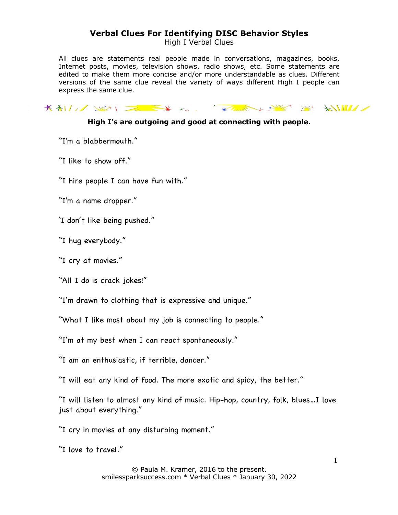High I Verbal Clues

All clues are statements real people made in conversations, magazines, books, Internet posts, movies, television shows, radio shows, etc. Some statements are edited to make them more concise and/or more understandable as clues. Different versions of the same clue reveal the variety of ways different High I people can express the same clue.

# KALL SEN EXTREMELY SERVER SERVER

#### **High I's are outgoing and good at connecting with people.**

"I'm a blabbermouth."

"I like to show off."

"I hire people I can have fun with."

"I'm a name dropper."

'I don't like being pushed."

"I hug everybody."

"I cry at movies."

"All I do is crack jokes!"

"I'm drawn to clothing that is expressive and unique."

"What I like most about my job is connecting to people."

"I'm at my best when I can react spontaneously."

"I am an enthusiastic, if terrible, dancer."

"I will eat any kind of food. The more exotic and spicy, the better."

"I will listen to almost any kind of music. Hip-hop, country, folk, blues…I love just about everything."

"I cry in movies at any disturbing moment."

"I love to travel."

© Paula M. Kramer, 2016 to the present. smilessparksuccess.com \* Verbal Clues \* January 30, 2022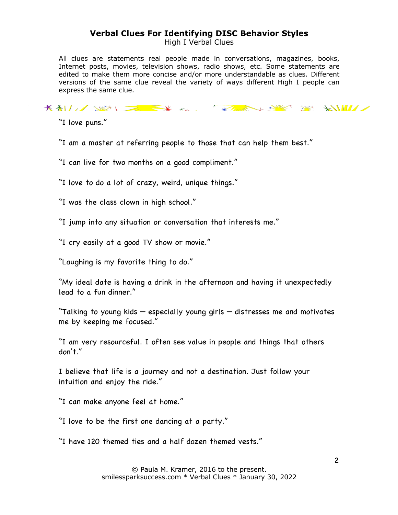High I Verbal Clues

All clues are statements real people made in conversations, magazines, books, Internet posts, movies, television shows, radio shows, etc. Some statements are edited to make them more concise and/or more understandable as clues. Different versions of the same clue reveal the variety of ways different High I people can express the same clue.

KALL SEN EXTREMELY SERVER SERVER

"I love puns."

"I am a master at referring people to those that can help them best."

"I can live for two months on a good compliment."

"I love to do a lot of crazy, weird, unique things."

"I was the class clown in high school."

"I jump into any situation or conversation that interests me."

"I cry easily at a good TV show or movie."

"Laughing is my favorite thing to do."

"My ideal date is having a drink in the afternoon and having it unexpectedly lead to a fun dinner."

"Talking to young kids — especially young girls — distresses me and motivates me by keeping me focused."

"I am very resourceful. I often see value in people and things that others don't."

I believe that life is a journey and not a destination. Just follow your intuition and enjoy the ride."

"I can make anyone feel at home."

"I love to be the first one dancing at a party."

"I have 120 themed ties and a half dozen themed vests."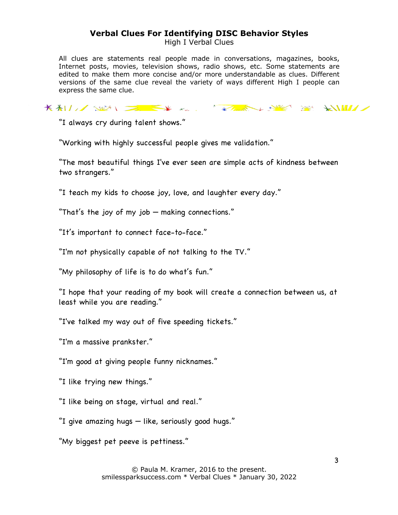High I Verbal Clues

All clues are statements real people made in conversations, magazines, books, Internet posts, movies, television shows, radio shows, etc. Some statements are edited to make them more concise and/or more understandable as clues. Different versions of the same clue reveal the variety of ways different High I people can express the same clue.

KALL SEN EXTREMELY SERVER SERVER

"I always cry during talent shows."

"Working with highly successful people gives me validation."

"The most beautiful things I've ever seen are simple acts of kindness between two strangers."

"I teach my kids to choose joy, love, and laughter every day."

"That's the joy of my job — making connections."

"It's important to connect face-to-face."

"I'm not physically capable of not talking to the TV."

"My philosophy of life is to do what's fun."

"I hope that your reading of my book will create a connection between us, at least while you are reading."

"I've talked my way out of five speeding tickets."

"I'm a massive prankster."

"I'm good at giving people funny nicknames."

"I like trying new things."

"I like being on stage, virtual and real."

"I give amazing hugs — like, seriously good hugs."

"My biggest pet peeve is pettiness."